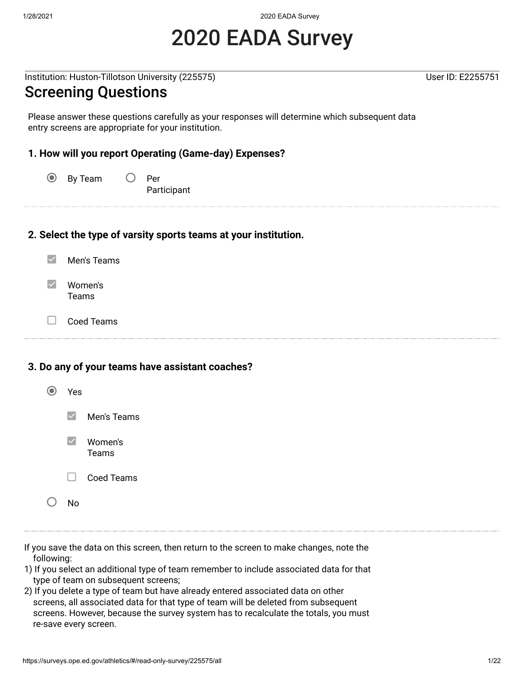1/28/2021 2020 EADA Survey

# 2020 EADA Survey

Institution: Huston-Tillotson University (225575) User ID: E2255751

#### Screening Questions

Please answer these questions carefully as your responses will determine which subsequent data entry screens are appropriate for your institution.

#### **1. How will you report Operating (Game-day) Expenses?**

 $\odot$ By Team  $\bigcirc$  Per Participant

#### **2. Select the type of varsity sports teams at your institution.**

- $\blacktriangledown$ Men's Teams
- $\overline{\smile}$ Women's Teams
- П. Coed Teams

#### **3. Do any of your teams have assistant coaches?**

| Yes                           |                         |
|-------------------------------|-------------------------|
| $\vert\boldsymbol\vee\vert$ . | Men's Teams             |
|                               | $\vee$ Women's<br>Teams |
| $\Box$                        | Coed Teams              |
| N٥                            |                         |

- If you save the data on this screen, then return to the screen to make changes, note the following:
- 1) If you select an additional type of team remember to include associated data for that type of team on subsequent screens;
- 2) If you delete a type of team but have already entered associated data on other screens, all associated data for that type of team will be deleted from subsequent screens. However, because the survey system has to recalculate the totals, you must re-save every screen.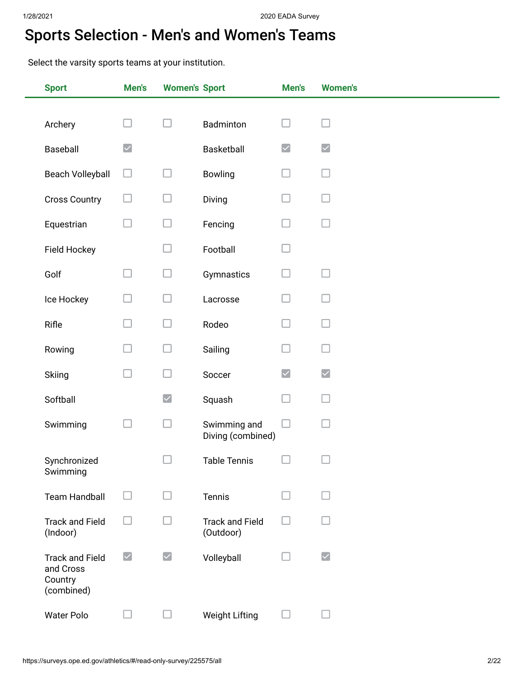## Sports Selection - Men's and Women's Teams

Select the varsity sports teams at your institution.

| <b>Sport</b>                                                 | Men's                | <b>Women's Sport</b> |                                     | Men's                | <b>Women's</b>               |
|--------------------------------------------------------------|----------------------|----------------------|-------------------------------------|----------------------|------------------------------|
|                                                              |                      |                      |                                     |                      |                              |
| Archery                                                      | $\Box$               | $\Box$               | Badminton                           |                      |                              |
| Baseball                                                     | $\blacktriangledown$ |                      | Basketball                          | $\blacktriangledown$ | $\blacktriangledown$         |
| <b>Beach Volleyball</b>                                      | □                    | □                    | Bowling                             |                      |                              |
| <b>Cross Country</b>                                         | u                    | Ш                    | Diving                              |                      |                              |
| Equestrian                                                   | $\Box$               | $\Box$               | Fencing                             |                      |                              |
| Field Hockey                                                 |                      | ⊔                    | Football                            |                      |                              |
| Golf                                                         | П                    | $\Box$               | Gymnastics                          |                      |                              |
| Ice Hockey                                                   |                      | Ш                    | Lacrosse                            |                      |                              |
| Rifle                                                        |                      | $\Box$               | Rodeo                               |                      |                              |
| Rowing                                                       |                      | $\Box$               | Sailing                             |                      |                              |
| Skiing                                                       | H                    | $\Box$               | Soccer                              | $\blacktriangledown$ | $\blacktriangledown$         |
| Softball                                                     |                      | $\blacktriangledown$ | Squash                              |                      |                              |
| Swimming                                                     | u                    | $\Box$               | Swimming and<br>Diving (combined)   | $\Box$               |                              |
| Synchronized<br>Swimming                                     |                      |                      | <b>Table Tennis</b>                 |                      |                              |
| <b>Team Handball</b>                                         | $\Box$               | $\Box$               | Tennis                              |                      |                              |
| <b>Track and Field</b><br>(Indoor)                           |                      |                      | <b>Track and Field</b><br>(Outdoor) |                      |                              |
| <b>Track and Field</b><br>and Cross<br>Country<br>(combined) | $\blacktriangledown$ | $\blacktriangledown$ | Volleyball                          |                      | $\boldsymbol{ \mathcal{q} }$ |
| <b>Water Polo</b>                                            | ப                    | ⊔                    | <b>Weight Lifting</b>               |                      |                              |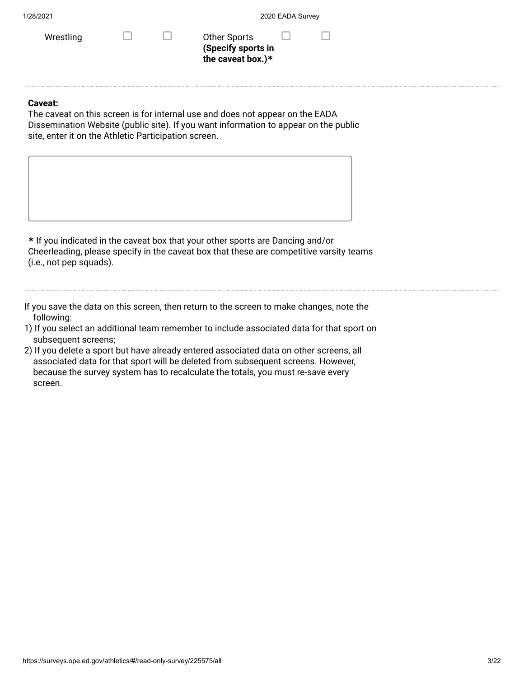| Wrestling |  |
|-----------|--|
|-----------|--|

 $\square$  Other Sports П **(Specify sports in the caveat box.)\***

#### **Caveat:**

The caveat on this screen is for internal use and does not appear on the EADA Dissemination Website (public site). If you want information to appear on the public site, enter it on the Athletic Participation screen.

**\*** If you indicated in the caveat box that your other sports are Dancing and/or Cheerleading, please specify in the caveat box that these are competitive varsity teams (i.e., not pep squads).

If you save the data on this screen, then return to the screen to make changes, note the following:

- 1) If you select an additional team remember to include associated data for that sport on subsequent screens;
- 2) If you delete a sport but have already entered associated data on other screens, all associated data for that sport will be deleted from subsequent screens. However, because the survey system has to recalculate the totals, you must re-save every screen.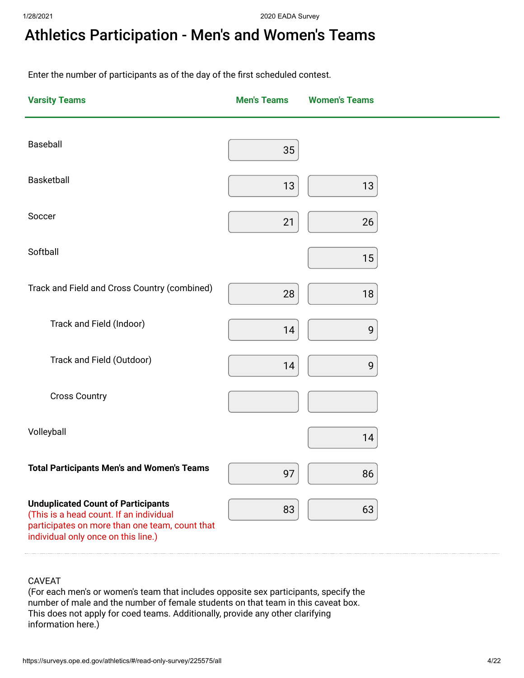# Athletics Participation - Men's and Women's Teams

Enter the number of participants as of the day of the first scheduled contest.

| <b>Varsity Teams</b>                                                                                                                                                          | <b>Men's Teams</b> | <b>Women's Teams</b> |  |
|-------------------------------------------------------------------------------------------------------------------------------------------------------------------------------|--------------------|----------------------|--|
| Baseball                                                                                                                                                                      | 35                 |                      |  |
| Basketball                                                                                                                                                                    | 13                 | 13                   |  |
| Soccer                                                                                                                                                                        | 21                 | 26                   |  |
| Softball                                                                                                                                                                      |                    | 15                   |  |
| Track and Field and Cross Country (combined)                                                                                                                                  | 28                 | 18                   |  |
| Track and Field (Indoor)                                                                                                                                                      | 14                 | 9                    |  |
| Track and Field (Outdoor)                                                                                                                                                     | 14                 | 9                    |  |
| <b>Cross Country</b>                                                                                                                                                          |                    |                      |  |
| Volleyball                                                                                                                                                                    |                    | 14                   |  |
| <b>Total Participants Men's and Women's Teams</b>                                                                                                                             | 97                 | 86                   |  |
| <b>Unduplicated Count of Participants</b><br>(This is a head count. If an individual<br>participates on more than one team, count that<br>individual only once on this line.) | 83                 | 63                   |  |

CAVEAT

(For each men's or women's team that includes opposite sex participants, specify the number of male and the number of female students on that team in this caveat box. This does not apply for coed teams. Additionally, provide any other clarifying information here.)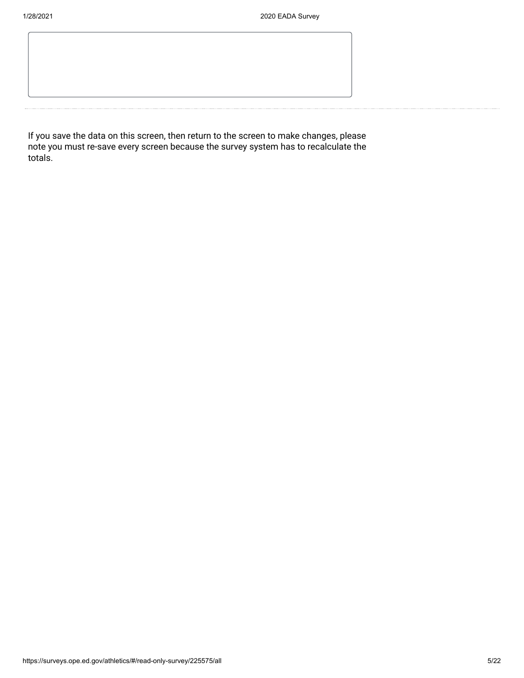If you save the data on this screen, then return to the screen to make changes, please note you must re-save every screen because the survey system has to recalculate the totals.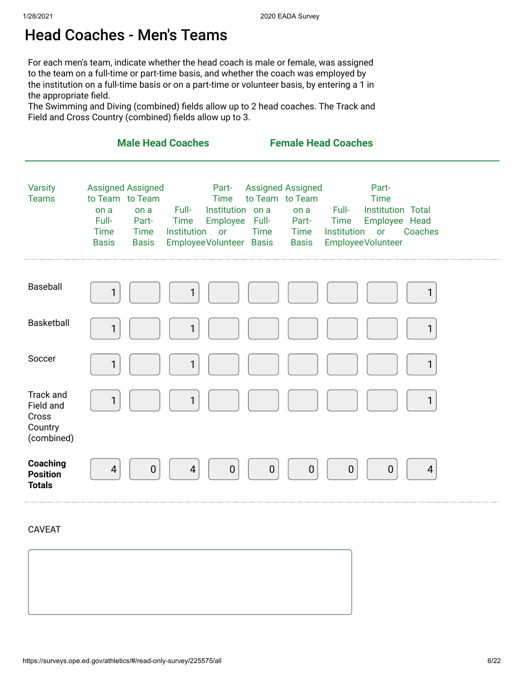#### Head Coaches - Men's Teams

For each men's team, indicate whether the head coach is male or female, was assigned to the team on a full-time or part-time basis, and whether the coach was employed by the institution on a full-time basis or on a part-time or volunteer basis, by entering a 1 in the appropriate field.

The Swimming and Diving (combined) fields allow up to 2 head coaches. The Track and Field and Cross Country (combined) fields allow up to 3.

|                                                                 |                                                                                                                                             | <b>Male Head Coaches</b>            |                                                                                               |                                         |                                                                   | <b>Female Head Coaches</b>          |                                                                                                      |                |  |
|-----------------------------------------------------------------|---------------------------------------------------------------------------------------------------------------------------------------------|-------------------------------------|-----------------------------------------------------------------------------------------------|-----------------------------------------|-------------------------------------------------------------------|-------------------------------------|------------------------------------------------------------------------------------------------------|----------------|--|
| <b>Varsity</b><br><b>Teams</b>                                  | <b>Assigned Assigned</b><br>to Team to Team<br>on a<br>on a<br>Full-<br>Part-<br><b>Time</b><br><b>Time</b><br><b>Basis</b><br><b>Basis</b> | Full-<br><b>Time</b><br>Institution | Part-<br><b>Time</b><br>Institution on a<br><b>Employee</b><br>or<br>Employee Volunteer Basis | to Team to Team<br>Full-<br><b>Time</b> | <b>Assigned Assigned</b><br>on a<br>Part-<br>Time<br><b>Basis</b> | Full-<br><b>Time</b><br>Institution | Part-<br><b>Time</b><br><b>Institution Total</b><br>Employee Head<br><b>or</b><br>Employee Volunteer | Coaches        |  |
| Baseball                                                        | 1                                                                                                                                           | 1                                   |                                                                                               |                                         |                                                                   |                                     |                                                                                                      | $\mathbf{1}$   |  |
| <b>Basketball</b>                                               | $\mathbf{1}$                                                                                                                                | $\mathbf{1}$                        |                                                                                               |                                         |                                                                   |                                     |                                                                                                      | 1              |  |
| Soccer                                                          | $\mathbf{1}$                                                                                                                                | $\mathbf{1}$                        |                                                                                               |                                         |                                                                   |                                     |                                                                                                      | $\mathbf{1}$   |  |
| <b>Track and</b><br>Field and<br>Cross<br>Country<br>(combined) | 1                                                                                                                                           | 1                                   |                                                                                               |                                         |                                                                   |                                     |                                                                                                      | 1              |  |
| Coaching<br><b>Position</b><br><b>Totals</b>                    | 4                                                                                                                                           | $\boldsymbol{0}$<br>$\overline{4}$  | $\boldsymbol{0}$                                                                              | $\boldsymbol{0}$                        | $\mathbf 0$                                                       | $\theta$                            | $\mathbf 0$                                                                                          | $\overline{4}$ |  |

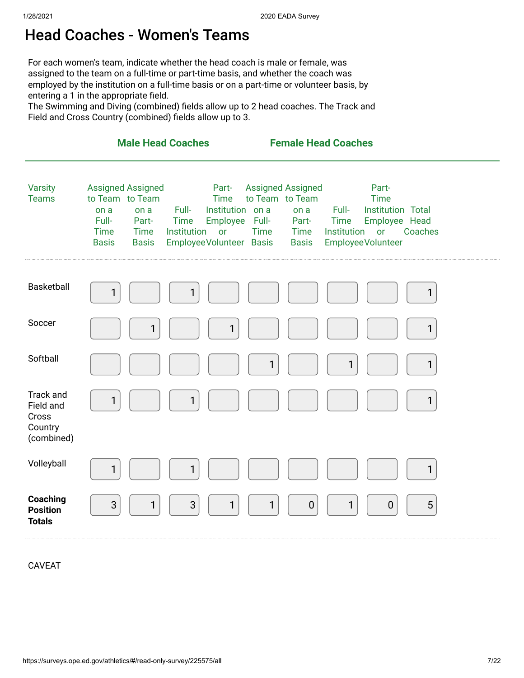#### Head Coaches - Women's Teams

For each women's team, indicate whether the head coach is male or female, was assigned to the team on a full-time or part-time basis, and whether the coach was employed by the institution on a full-time basis or on a part-time or volunteer basis, by entering a 1 in the appropriate field.

The Swimming and Diving (combined) fields allow up to 2 head coaches. The Track and Field and Cross Country (combined) fields allow up to 3.

|                                                          |                                                                                                                                             | <b>Male Head Coaches</b>                                                                                                                   | <b>Female Head Coaches</b>                                                                                          |                                                                                                                                             |              |
|----------------------------------------------------------|---------------------------------------------------------------------------------------------------------------------------------------------|--------------------------------------------------------------------------------------------------------------------------------------------|---------------------------------------------------------------------------------------------------------------------|---------------------------------------------------------------------------------------------------------------------------------------------|--------------|
| <b>Varsity</b><br><b>Teams</b>                           | <b>Assigned Assigned</b><br>to Team to Team<br>on a<br>on a<br>Full-<br>Part-<br><b>Time</b><br><b>Time</b><br><b>Basis</b><br><b>Basis</b> | Part-<br><b>Time</b><br>Full-<br>Institution on a<br><b>Time</b><br><b>Employee</b><br><b>Institution</b><br>or<br>EmployeeVolunteer Basis | <b>Assigned Assigned</b><br>to Team to Team<br>on a<br>Full-<br>Part-<br><b>Time</b><br><b>Time</b><br><b>Basis</b> | Part-<br><b>Time</b><br>Full-<br><b>Institution Total</b><br>Time<br>Employee Head<br><b>Institution</b><br><b>or</b><br>Employee Volunteer | Coaches      |
| <b>Basketball</b>                                        | 1                                                                                                                                           | 1                                                                                                                                          |                                                                                                                     |                                                                                                                                             | 1            |
| Soccer                                                   | 1                                                                                                                                           | 1                                                                                                                                          |                                                                                                                     |                                                                                                                                             | $\mathbf{1}$ |
| Softball                                                 |                                                                                                                                             |                                                                                                                                            | 1                                                                                                                   | 1                                                                                                                                           |              |
| Track and<br>Field and<br>Cross<br>Country<br>(combined) | 1                                                                                                                                           | 1                                                                                                                                          |                                                                                                                     |                                                                                                                                             | 1            |
| Volleyball                                               | 1                                                                                                                                           | 1                                                                                                                                          |                                                                                                                     |                                                                                                                                             | 1            |
| Coaching<br><b>Position</b><br><b>Totals</b>             | 3<br>1                                                                                                                                      | 3<br>$\mathbf{1}$                                                                                                                          | $\overline{0}$<br>1                                                                                                 | 1<br>$\mathbf 0$                                                                                                                            | 5            |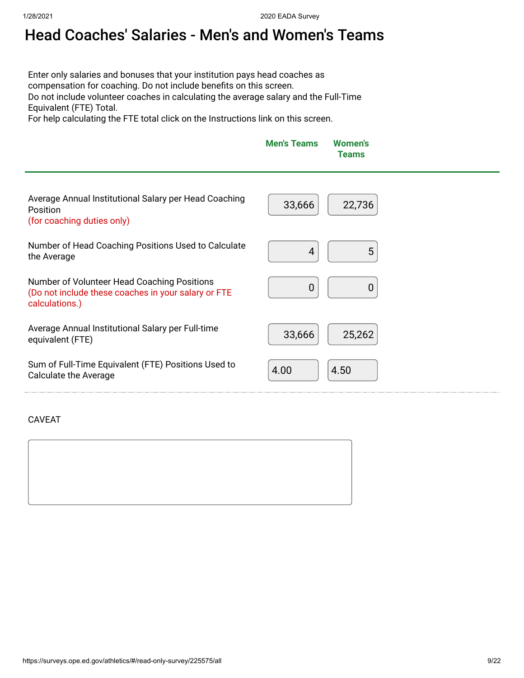# Head Coaches' Salaries - Men's and Women's Teams

Enter only salaries and bonuses that your institution pays head coaches as compensation for coaching. Do not include benefits on this screen. Do not include volunteer coaches in calculating the average salary and the Full-Time Equivalent (FTE) Total.

For help calculating the FTE total click on the Instructions link on this screen.

| <b>Men's Teams Women's</b> | Teams |
|----------------------------|-------|
|                            |       |

| Average Annual Institutional Salary per Head Coaching<br>Position<br>(for coaching duties only)                      | 22,736<br>33,666 |
|----------------------------------------------------------------------------------------------------------------------|------------------|
| Number of Head Coaching Positions Used to Calculate                                                                  | 5                |
| the Average                                                                                                          | 4                |
| Number of Volunteer Head Coaching Positions<br>(Do not include these coaches in your salary or FTE<br>calculations.) | 0                |
| Average Annual Institutional Salary per Full-time                                                                    | 25,262           |
| equivalent (FTE)                                                                                                     | 33,666           |
| Sum of Full-Time Equivalent (FTE) Positions Used to                                                                  | 4.00             |
| <b>Calculate the Average</b>                                                                                         | 4.50             |

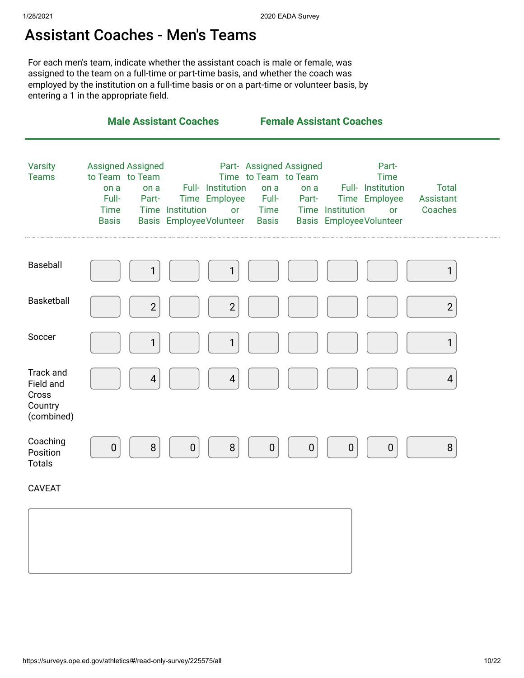#### Assistant Coaches - Men's Teams

For each men's team, indicate whether the assistant coach is male or female, was assigned to the team on a full-time or part-time basis, and whether the coach was employed by the institution on a full-time basis or on a part-time or volunteer basis, by entering a 1 in the appropriate field.

|                                                          | <b>Male Assistant Coaches</b>                                                                                                                                      |                                                                                                                                                    | <b>Female Assistant Coaches</b>                                                                                                                |                                             |
|----------------------------------------------------------|--------------------------------------------------------------------------------------------------------------------------------------------------------------------|----------------------------------------------------------------------------------------------------------------------------------------------------|------------------------------------------------------------------------------------------------------------------------------------------------|---------------------------------------------|
| <b>Varsity</b><br><b>Teams</b>                           | <b>Assigned Assigned</b><br>to Team to Team<br>on a<br>on a<br>Full-<br>Part-<br>Time Institution<br><b>Time</b><br><b>Basis EmployeeVolunteer</b><br><b>Basis</b> | Part- Assigned Assigned<br>Time to Team to Team<br>Full- Institution<br>on a<br>Full-<br>Time Employee<br><b>Time</b><br><b>or</b><br><b>Basis</b> | Part-<br><b>Time</b><br>Full- Institution<br>on a<br>Time Employee<br>Part-<br>Time Institution<br><b>or</b><br><b>Basis EmployeeVolunteer</b> | <b>Total</b><br><b>Assistant</b><br>Coaches |
| Baseball                                                 | 1                                                                                                                                                                  | 1                                                                                                                                                  |                                                                                                                                                | 1                                           |
| <b>Basketball</b>                                        | $\overline{2}$                                                                                                                                                     | $\overline{2}$                                                                                                                                     |                                                                                                                                                | $\overline{2}$                              |
| Soccer                                                   | 1                                                                                                                                                                  | $\mathbf{1}$                                                                                                                                       |                                                                                                                                                | 1                                           |
| Track and<br>Field and<br>Cross<br>Country<br>(combined) | $\overline{\mathbf{4}}$                                                                                                                                            | $\overline{4}$                                                                                                                                     |                                                                                                                                                | $\overline{4}$                              |
| Coaching<br>Position<br><b>Totals</b>                    | 8<br>$\pmb{0}$<br>$\boldsymbol{0}$                                                                                                                                 | 8<br>$\boldsymbol{0}$                                                                                                                              | $\boldsymbol{0}$<br>$\theta$<br>$\boldsymbol{0}$                                                                                               | 8                                           |
| <b>CAVEAT</b>                                            |                                                                                                                                                                    |                                                                                                                                                    |                                                                                                                                                |                                             |
|                                                          |                                                                                                                                                                    |                                                                                                                                                    |                                                                                                                                                |                                             |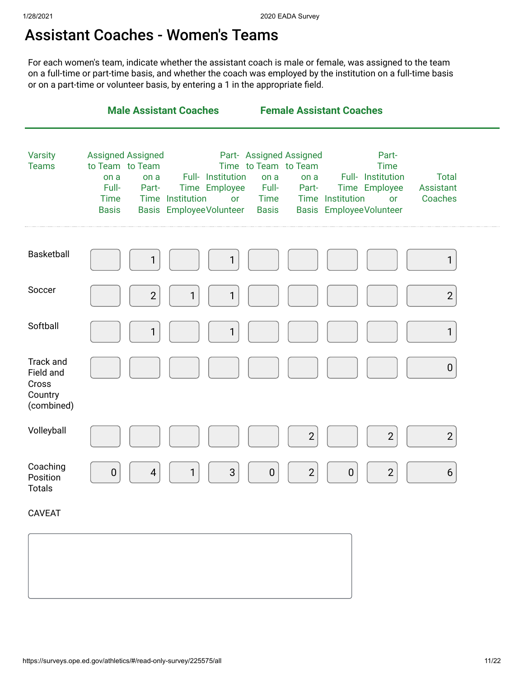#### Assistant Coaches - Women's Teams

For each women's team, indicate whether the assistant coach is male or female, was assigned to the team on a full-time or part-time basis, and whether the coach was employed by the institution on a full-time basis or on a part-time or volunteer basis, by entering a 1 in the appropriate field.

|                                                          | <b>Male Assistant Coaches</b>                                                                                                                                                                                  | <b>Female Assistant Coaches</b>                                                                                                                                                                                                                                             |  |
|----------------------------------------------------------|----------------------------------------------------------------------------------------------------------------------------------------------------------------------------------------------------------------|-----------------------------------------------------------------------------------------------------------------------------------------------------------------------------------------------------------------------------------------------------------------------------|--|
| <b>Varsity</b><br><b>Teams</b>                           | <b>Assigned Assigned</b><br>to Team to Team<br>Full- Institution<br>on a<br>on a<br>Full-<br>Time Employee<br>Part-<br><b>Time</b><br>Time Institution<br>or<br><b>Basis EmployeeVolunteer</b><br><b>Basis</b> | Part- Assigned Assigned<br>Part-<br>Time to Team to Team<br><b>Time</b><br>Full- Institution<br><b>Total</b><br>on a<br>on a<br>Full-<br>Time Employee<br>Assistant<br>Part-<br>Coaches<br>Time<br>Time Institution<br>or<br><b>Basis EmployeeVolunteer</b><br><b>Basis</b> |  |
| Basketball                                               | 1<br>1                                                                                                                                                                                                         | $\mathbf{1}$                                                                                                                                                                                                                                                                |  |
| Soccer                                                   | $\overline{2}$<br>$\mathbf{1}$<br>$\mathbf{1}$                                                                                                                                                                 | $\overline{2}$                                                                                                                                                                                                                                                              |  |
| Softball                                                 | 1<br>$\mathbf{1}$                                                                                                                                                                                              | $\mathbf{1}$                                                                                                                                                                                                                                                                |  |
| Track and<br>Field and<br>Cross<br>Country<br>(combined) |                                                                                                                                                                                                                | $\pmb{0}$                                                                                                                                                                                                                                                                   |  |
| Volleyball                                               |                                                                                                                                                                                                                | $\overline{2}$<br>$\mathbf{2}$<br>$\mathbf{2}$                                                                                                                                                                                                                              |  |
| Coaching<br>Position<br>Totals                           | 3<br>4<br>1<br>$\boldsymbol{0}$                                                                                                                                                                                | $\overline{2}$<br>$\overline{2}$<br>6<br>$\mathbf 0$<br>$\boldsymbol{0}$                                                                                                                                                                                                    |  |
| <b>CAVEAT</b>                                            |                                                                                                                                                                                                                |                                                                                                                                                                                                                                                                             |  |
|                                                          |                                                                                                                                                                                                                |                                                                                                                                                                                                                                                                             |  |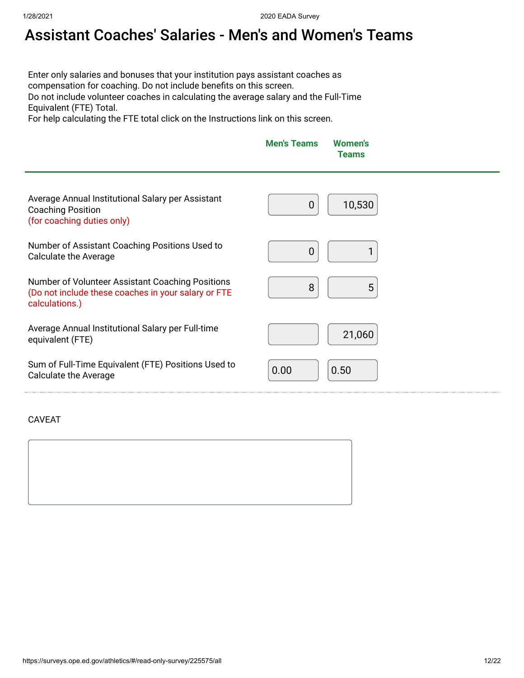# Assistant Coaches' Salaries - Men's and Women's Teams

Enter only salaries and bonuses that your institution pays assistant coaches as compensation for coaching. Do not include benefits on this screen. Do not include volunteer coaches in calculating the average salary and the Full-Time Equivalent (FTE) Total.

For help calculating the FTE total click on the Instructions link on this screen.

|                                                                                                                           | <b>Men's Teams</b> | <b>Women's</b><br><b>Teams</b> |
|---------------------------------------------------------------------------------------------------------------------------|--------------------|--------------------------------|
| Average Annual Institutional Salary per Assistant<br><b>Coaching Position</b><br>(for coaching duties only)               | 0                  | 10,530                         |
| Number of Assistant Coaching Positions Used to<br><b>Calculate the Average</b>                                            | 0                  |                                |
| Number of Volunteer Assistant Coaching Positions<br>(Do not include these coaches in your salary or FTE<br>calculations.) | 8                  | 5                              |
| Average Annual Institutional Salary per Full-time<br>equivalent (FTE)                                                     |                    | 21,060                         |
| Sum of Full-Time Equivalent (FTE) Positions Used to<br><b>Calculate the Average</b>                                       | 0.00               | 0.50                           |
|                                                                                                                           |                    |                                |

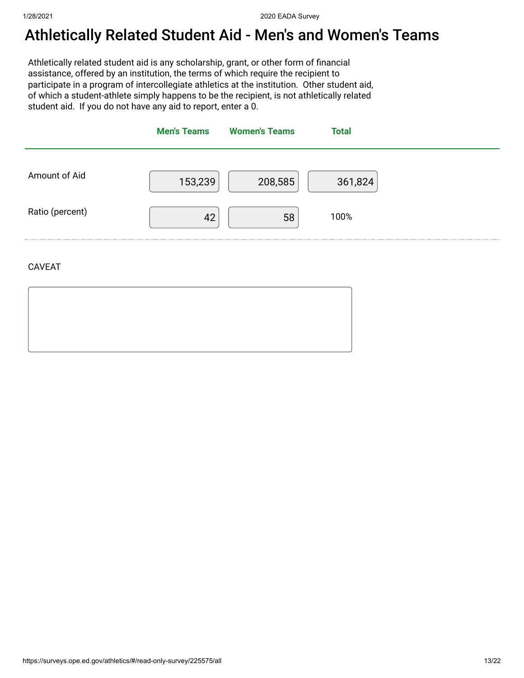## Athletically Related Student Aid - Men's and Women's Teams

Athletically related student aid is any scholarship, grant, or other form of financial assistance, offered by an institution, the terms of which require the recipient to participate in a program of intercollegiate athletics at the institution. Other student aid, of which a student-athlete simply happens to be the recipient, is not athletically related student aid. If you do not have any aid to report, enter a 0.



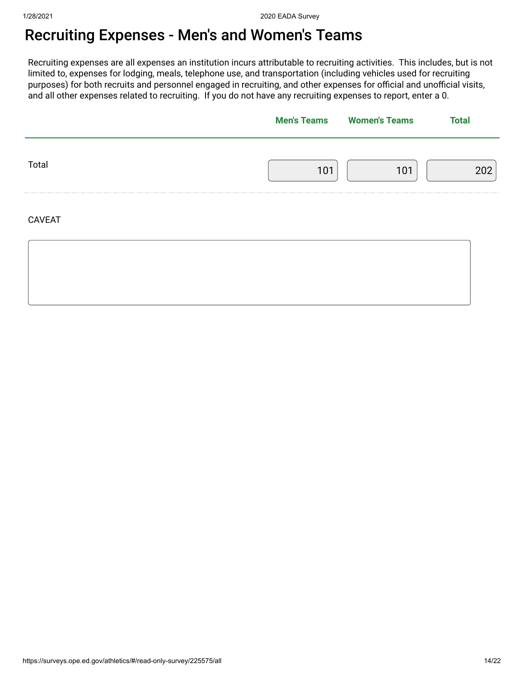## Recruiting Expenses - Men's and Women's Teams

Recruiting expenses are all expenses an institution incurs attributable to recruiting activities. This includes, but is not limited to, expenses for lodging, meals, telephone use, and transportation (including vehicles used for recruiting purposes) for both recruits and personnel engaged in recruiting, and other expenses for official and unofficial visits, and all other expenses related to recruiting. If you do not have any recruiting expenses to report, enter a 0.

|               |     | <b>Men's Teams</b> Women's Teams | <b>Total</b> |  |
|---------------|-----|----------------------------------|--------------|--|
| Total         | 101 | 101                              | 202          |  |
| <b>CAVEAT</b> |     |                                  |              |  |
|               |     |                                  |              |  |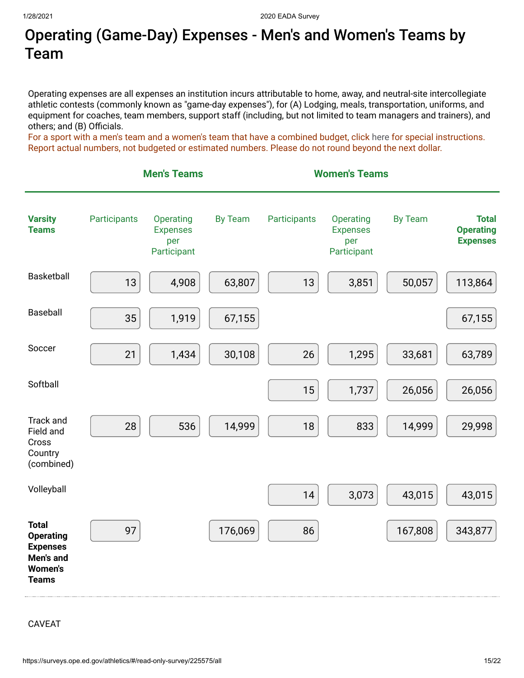## Operating (Game-Day) Expenses - Men's and Women's Teams by Team

Operating expenses are all expenses an institution incurs attributable to home, away, and neutral-site intercollegiate athletic contests (commonly known as "game-day expenses"), for (A) Lodging, meals, transportation, uniforms, and equipment for coaches, team members, support staff (including, but not limited to team managers and trainers), and others; and (B) Officials.

For a sport with a men's team and a women's team that have a combined budget, click [here](https://surveys.ope.ed.gov/athletics2k20/wwwroot/documents/inst_1.pdf) for special instructions. Report actual numbers, not budgeted or estimated numbers. Please do not round beyond the next dollar.

|                                                                                                    |              | <b>Men's Teams</b>                                 |                |              | <b>Women's Teams</b>                               |                |                                                     |
|----------------------------------------------------------------------------------------------------|--------------|----------------------------------------------------|----------------|--------------|----------------------------------------------------|----------------|-----------------------------------------------------|
| <b>Varsity</b><br><b>Teams</b>                                                                     | Participants | Operating<br><b>Expenses</b><br>per<br>Participant | <b>By Team</b> | Participants | Operating<br><b>Expenses</b><br>per<br>Participant | <b>By Team</b> | <b>Total</b><br><b>Operating</b><br><b>Expenses</b> |
| Basketball                                                                                         | 13           | 4,908                                              | 63,807         | 13           | 3,851                                              | 50,057         | 113,864                                             |
| Baseball                                                                                           | 35           | 1,919                                              | 67,155         |              |                                                    |                | 67,155                                              |
| Soccer                                                                                             | 21           | 1,434                                              | 30,108         | 26           | 1,295                                              | 33,681         | 63,789                                              |
| Softball                                                                                           |              |                                                    |                | 15           | 1,737                                              | 26,056         | 26,056                                              |
| <b>Track and</b><br>Field and<br>Cross<br>Country<br>(combined)                                    | 28           | 536                                                | 14,999         | 18           | 833                                                | 14,999         | 29,998                                              |
| Volleyball                                                                                         |              |                                                    |                | 14           | 3,073                                              | 43,015         | 43,015                                              |
| <b>Total</b><br><b>Operating</b><br><b>Expenses</b><br>Men's and<br><b>Women's</b><br><b>Teams</b> | 97           |                                                    | 176,069        | 86           |                                                    | 167,808        | 343,877                                             |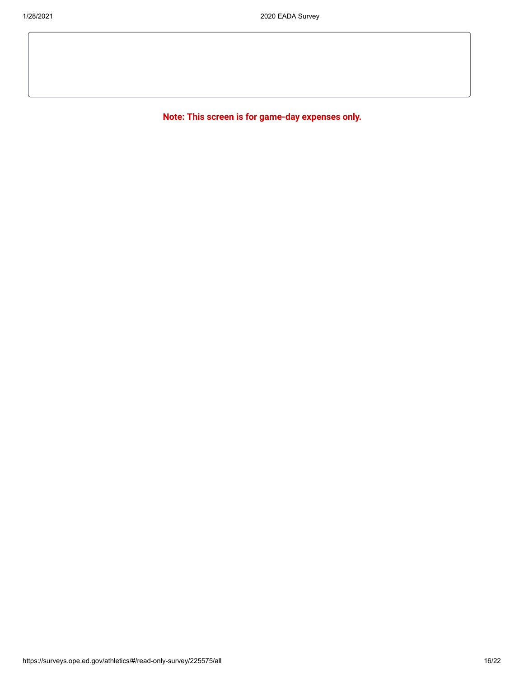**Note: This screen is for game-day expenses only.**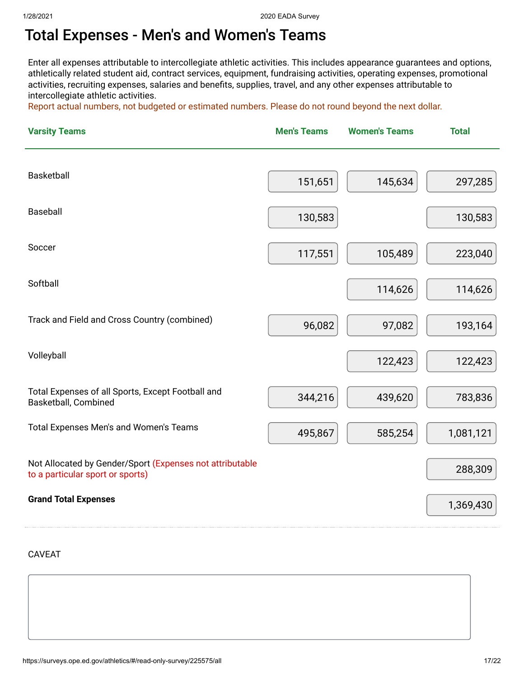#### Total Expenses - Men's and Women's Teams

Enter all expenses attributable to intercollegiate athletic activities. This includes appearance guarantees and options, athletically related student aid, contract services, equipment, fundraising activities, operating expenses, promotional activities, recruiting expenses, salaries and benefits, supplies, travel, and any other expenses attributable to intercollegiate athletic activities.

Report actual numbers, not budgeted or estimated numbers. Please do not round beyond the next dollar.

| <b>Varsity Teams</b>                                                                         | <b>Men's Teams</b> | <b>Women's Teams</b> | <b>Total</b> |  |
|----------------------------------------------------------------------------------------------|--------------------|----------------------|--------------|--|
| <b>Basketball</b>                                                                            |                    |                      |              |  |
|                                                                                              | 151,651            | 145,634              | 297,285      |  |
| Baseball                                                                                     | 130,583            |                      | 130,583      |  |
| Soccer                                                                                       | 117,551            | 105,489              | 223,040      |  |
| Softball                                                                                     |                    | 114,626              | 114,626      |  |
| Track and Field and Cross Country (combined)                                                 | 96,082             | 97,082               | 193,164      |  |
| Volleyball                                                                                   |                    | 122,423              | 122,423      |  |
| Total Expenses of all Sports, Except Football and<br><b>Basketball, Combined</b>             | 344,216            | 439,620              | 783,836      |  |
| Total Expenses Men's and Women's Teams                                                       | 495,867            | 585,254              | 1,081,121    |  |
| Not Allocated by Gender/Sport (Expenses not attributable<br>to a particular sport or sports) |                    |                      | 288,309      |  |
| <b>Grand Total Expenses</b>                                                                  |                    |                      | 1,369,430    |  |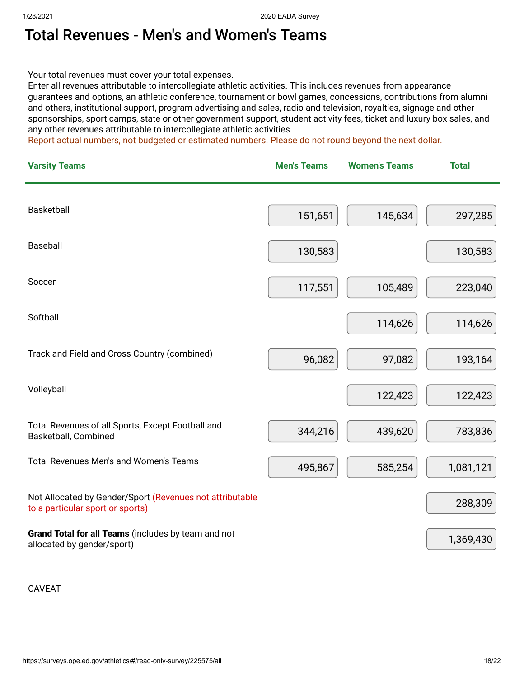#### Total Revenues - Men's and Women's Teams

Your total revenues must cover your total expenses.

Enter all revenues attributable to intercollegiate athletic activities. This includes revenues from appearance guarantees and options, an athletic conference, tournament or bowl games, concessions, contributions from alumni and others, institutional support, program advertising and sales, radio and television, royalties, signage and other sponsorships, sport camps, state or other government support, student activity fees, ticket and luxury box sales, and any other revenues attributable to intercollegiate athletic activities.

Report actual numbers, not budgeted or estimated numbers. Please do not round beyond the next dollar.

| <b>Varsity Teams</b>                                                                         | <b>Men's Teams</b> | <b>Women's Teams</b> | <b>Total</b> |
|----------------------------------------------------------------------------------------------|--------------------|----------------------|--------------|
| Basketball                                                                                   | 151,651            | 145,634              | 297,285      |
| Baseball                                                                                     | 130,583            |                      | 130,583      |
| Soccer                                                                                       | 117,551            | 105,489              | 223,040      |
| Softball                                                                                     |                    | 114,626              | 114,626      |
| Track and Field and Cross Country (combined)                                                 | 96,082             | 97,082               | 193,164      |
| Volleyball                                                                                   |                    | 122,423              | 122,423      |
| Total Revenues of all Sports, Except Football and<br>Basketball, Combined                    | 344,216            | 439,620              | 783,836      |
| Total Revenues Men's and Women's Teams                                                       | 495,867            | 585,254              | 1,081,121    |
| Not Allocated by Gender/Sport (Revenues not attributable<br>to a particular sport or sports) |                    |                      | 288,309      |
| Grand Total for all Teams (includes by team and not<br>allocated by gender/sport)            |                    |                      | 1,369,430    |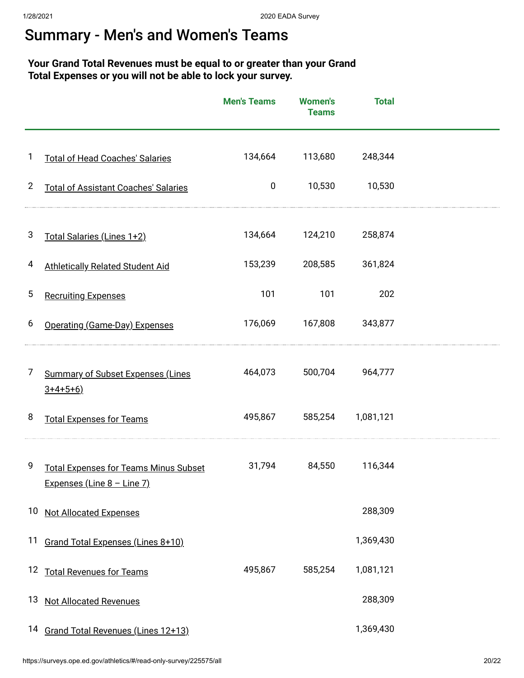### Summary - Men's and Women's Teams

#### **Your Grand Total Revenues must be equal to or greater than your Grand Total Expenses or you will not be able to lock your survey.**

|                |                                                                            | <b>Men's Teams</b> | <b>Women's</b><br><b>Teams</b> | <b>Total</b> |  |
|----------------|----------------------------------------------------------------------------|--------------------|--------------------------------|--------------|--|
| 1              | <b>Total of Head Coaches' Salaries</b>                                     | 134,664            | 113,680                        | 248,344      |  |
| $\overline{2}$ | <b>Total of Assistant Coaches' Salaries</b>                                | $\pmb{0}$          | 10,530                         | 10,530       |  |
| 3              | Total Salaries (Lines 1+2)                                                 | 134,664            | 124,210                        | 258,874      |  |
| 4              | <b>Athletically Related Student Aid</b>                                    | 153,239            | 208,585                        | 361,824      |  |
| 5              | <b>Recruiting Expenses</b>                                                 | 101                | 101                            | 202          |  |
| 6              | Operating (Game-Day) Expenses                                              | 176,069            | 167,808                        | 343,877      |  |
| 7              | <b>Summary of Subset Expenses (Lines</b><br>$3+4+5+6$                      | 464,073            | 500,704                        | 964,777      |  |
| 8              | <b>Total Expenses for Teams</b>                                            | 495,867            | 585,254                        | 1,081,121    |  |
| 9              | <b>Total Expenses for Teams Minus Subset</b><br>Expenses (Line 8 - Line 7) | 31,794             | 84,550                         | 116,344      |  |
|                | 10 Not Allocated Expenses                                                  |                    |                                | 288,309      |  |
| 11             | Grand Total Expenses (Lines 8+10)                                          |                    |                                | 1,369,430    |  |
|                | 12 Total Revenues for Teams                                                | 495,867            | 585,254                        | 1,081,121    |  |
| 13             | <b>Not Allocated Revenues</b>                                              |                    |                                | 288,309      |  |
|                | 14 Grand Total Revenues (Lines 12+13)                                      |                    |                                | 1,369,430    |  |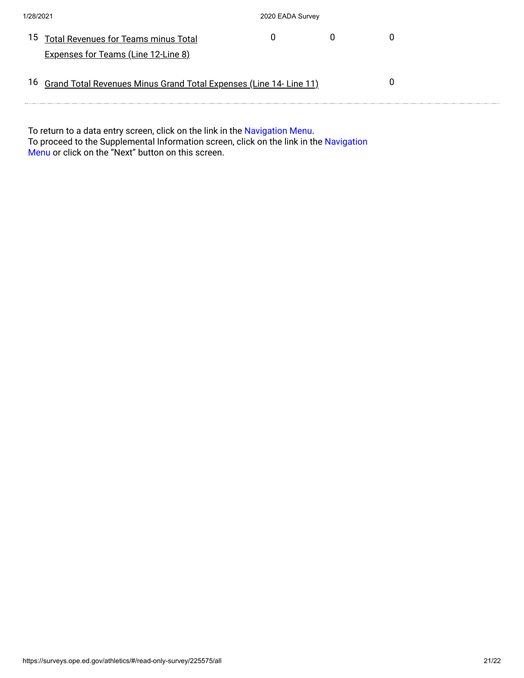| 1/28/2021                                                             | 2020 EADA Survey |  |
|-----------------------------------------------------------------------|------------------|--|
| <sup>15</sup> Total Revenues for Teams minus Total                    |                  |  |
| <b>Expenses for Teams (Line 12-Line 8)</b>                            |                  |  |
| 16 Grand Total Revenues Minus Grand Total Expenses (Line 14- Line 11) |                  |  |

To return to a data entry screen, click on the link in the <mark>Navigation Menu.</mark> To proceed to the Supplemental Information screen, click on the link in the Navigation Menu or click on the "Next" button on this screen.